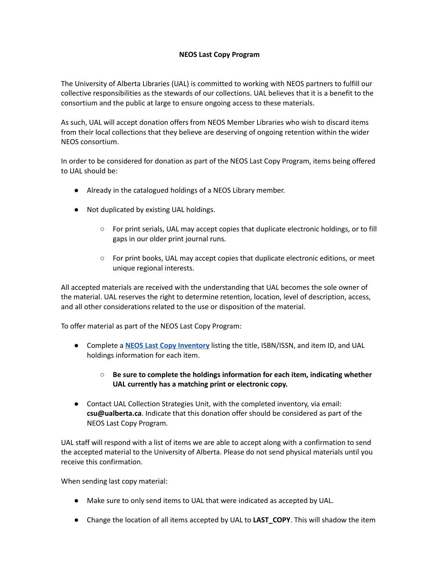## **NEOS Last Copy Program**

The University of Alberta Libraries (UAL) is committed to working with NEOS partners to fulfill our collective responsibilities as the stewards of our collections. UAL believes that it is a benefit to the consortium and the public at large to ensure ongoing access to these materials.

As such, UAL will accept donation offers from NEOS Member Libraries who wish to discard items from their local collections that they believe are deserving of ongoing retention within the wider NEOS consortium.

In order to be considered for donation as part of the NEOS Last Copy Program, items being offered to UAL should be:

- Already in the catalogued holdings of a NEOS Library member.
- Not duplicated by existing UAL holdings.
	- For print serials, UAL may accept copies that duplicate electronic holdings, or to fill gaps in our older print journal runs.
	- For print books, UAL may accept copies that duplicate electronic editions, or meet unique regional interests.

All accepted materials are received with the understanding that UAL becomes the sole owner of the material. UAL reserves the right to determine retention, location, level of description, access, and all other considerations related to the use or disposition of the material.

To offer material as part of the NEOS Last Copy Program:

- Complete a **NEOS Last Copy [Inventory](https://drive.google.com/file/d/1QvUSPxspuG7QIeTUsfukK88t1RImSYRU/view?usp=sharing)** listing the title, ISBN/ISSN, and item ID, and UAL holdings information for each item.
	- **○ Be sure to complete the holdings information for each item, indicating whether UAL currently has a matching print or electronic copy.**
- Contact UAL Collection Strategies Unit, with the completed inventory, via email: **csu@ualberta.ca**. Indicate that this donation offer should be considered as part of the NEOS Last Copy Program.

UAL staff will respond with a list of items we are able to accept along with a confirmation to send the accepted material to the University of Alberta. Please do not send physical materials until you receive this confirmation.

When sending last copy material:

- Make sure to only send items to UAL that were indicated as accepted by UAL.
- Change the location of all items accepted by UAL to **LAST\_COPY**. This will shadow the item